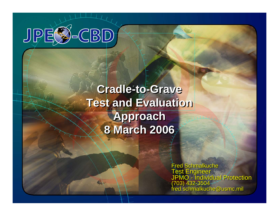

# **Cradle-to-Grave Cradle-to-Grave Test and Evaluation Test and Evaluation Approach Approach 8 March 2006 8 March 2006**

**Ms. Sue Reeps J**ndividual Protection **Sreeps@nctrf.natick.army.mil Ms. Sue Reeps Jndividual Protection**  $\blacksquare$ schmalkuche@usmc.mil Fred Schmalkuche<br>Test Engineer JPMO - Individual Protection (703) 432-3504 fred.schmalkuche@usmc.mil Fred Schmalkuche Test Engineer JPMO - Individual Protection (703) 432-3504 fred.schmalkuche@usmc.mil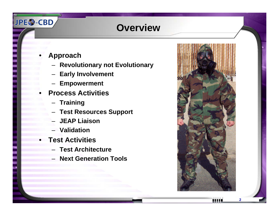## **Overview**

**Approach**

•

JPE<sup>2</sup>-CBD

- **Revolutionary not Evolutionary**
- –**Early Involvement**
- –**Empowerment**
- • **Process Activities**
	- **Training**
	- **Test Resources Support**
	- **JEAP Liaison**
	- **Validation**
- **Test Activities**
	- **Test Architecture**
	- –**Next Generation Tools**



**2**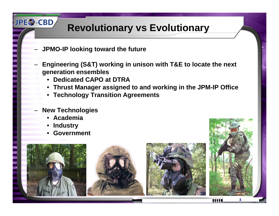# **Revolutionary vs Evolutionary**

- **JPMO-IP looking tow ard the future**
- **Engineering (S&T) w orking in unison with T&E to locate the next generation ensembles**
	- •**Dedicated CAPO at DTRA**
	- **Thrust Manager assigned to and w orking in the JPM-IP Office**
	- **Technology Transition Agreements**
- **New Technologies**
	- •**Academia**
	- •**Industry**

**JPE<sup>2</sup>-CBD** 

•**Government**



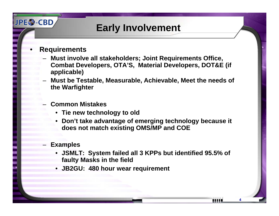#### **Early Involvement**

•**Requirements**

**JPES-CBD** 

- **Must invol v e all stakeholders; Joint Requirements Office, Combat Developers, OTA'S, Material Developers, DOT&E (if applicable)**
- – $-$  Must be Testable, Measurable, Achievable, Meet the needs of **the Warfighter**
- **Common Mistakes**
	- **Tie new technology to old**
	- **Don't take adv antage of emerging technology because it does not match existing OMS/MP and C O E**
- **Examples**
	- **JSMLT: System failed all 3 KPPs but identified 95.5 % of faulty Masks in the field**

**4**

ш

• **JB2GU: 480 hour wear requirement**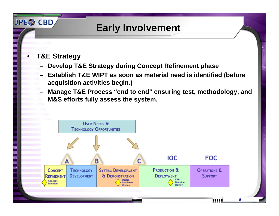## **Early Involvement**

**T&E Strategy**

•

**JPES-CBD** 

- **Develop T&E Strategy during Concept Refinement phase**
- **Establish T&E WIPT as soon as material need is identified (before acquisition acti vities begin.)**
- – **Manage T&E Process "end to end" ensuring test, methodology, and M&S efforts fully assess the system.**

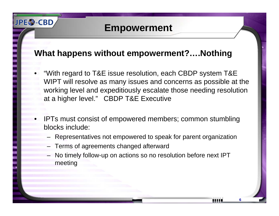#### **Empowerment**

#### **What happens without empowerment?….Nothing**

- • "With regard to T&E issue resolution, each CBDP system T&E WIPT will resolve as many issues and concerns as possible at the working level and expeditiously escalate those needing resolution at a higher level." CBDP T&E Executive
- • IPTs must consist of empowered members; common stumbling blocks include:
	- Representatives not empowered to speak for parent organization
	- Terms of agreements changed afterward

**JPES-CBD** 

– No timely follow-up on actions so no resolution before next IPT meeting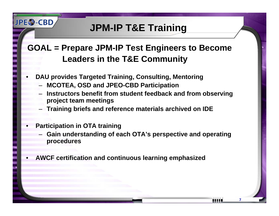# **JPM-IP T&E Training**

#### **GOAL = Prepare JPM-IP Test Engineers to Become Leaders in the T&E Communit y**

- •**D AU pro vides Targeted Training, Consulting, Mentoring**
	- **MCOTE A, OSD and JPEO-CBD Participation**
	- **Instructors benefit from student feedback and from observing project team meetings**
	- –**Training briefs and reference materials archi ved on IDE**
- •**Participation in OT A training**

**JPES-CBD** 

 **Gain understanding of each OT A's perspecti ve and operating procedures**

**7**

ш

•**A WCF certification and continuous learning emphasized**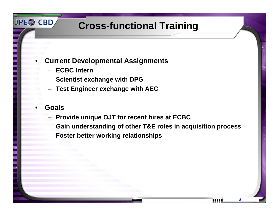# **Cross-functional Training**

- • **Current De v elopmental Assignments**
	- **ECBC Intern**
	- **Scientist exchange with DPG**
	- **Test Engineer exchange with A E C**
- •**Goals**

**JPES-CBD** 

- **Pro vide unique OJT for recent hires at ECBC**
- **Gain understanding of other T&E roles in acquisition process**

**8**

ш

**Foster better w orking relationships**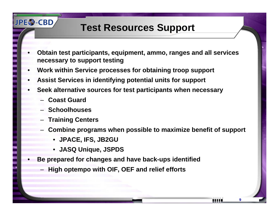# **Test Resources Support**

- • **Obtain test participants, equipment, ammo, ranges and all services necessary to support testing**
- •**Work within Ser vice processes for obtaining troop support**
- •**A ssist Ser vices in identifying potential units for support**
- • **Seek alternative sources for test participants w hen necessary**
	- –**Coast Guard**

**JPES-CBD** 

- **Schoolhouses**
- –**Training Centers**
- **Combine programs w hen possible to maximize benefit of support**
	- **JPACE, IFS, JB2GU**
	- **J ASQ Unique, JSPDS**
- • **Be prepared for changes and hav e back-ups identified**
	- –**High optempo with OIF, OEF and relief efforts**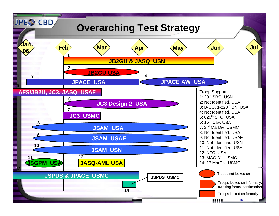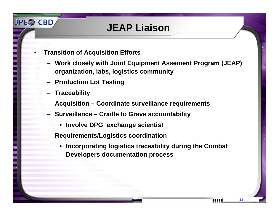#### **JEAP Liaison**

- • **Transition of Acquisition Efforts**
	- **Work closely with Joint Equipment Assement Program (JEAP) organization, labs, logistics community**
	- **Production Lot Testing**
	- **Traceability**

**JPES-CBD** 

- **Acquisition – Coordinate surveillance requirements**
- **Surveillance – Cradle to Grave accountability**
	- •**Involve DPG exchange scientist**
- **Requirements/Logistics coordination**
	- • **Incorporating logistics traceability during the Combat Developers documentation process**

**11**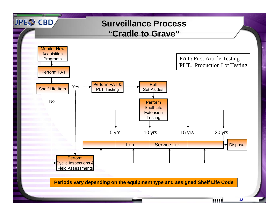

**12**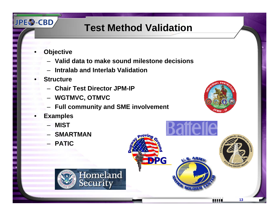# **Test Method Validation**

**DPG** 

**Objective** 

•

JPE<sup>2</sup>-CBD

- **Valid data to make sound milestone decisions**
- **Intralab and Interlab Validation**
- • **Structure**
	- **Chair Test Director JPM-IP**
	- **WGTMVC, OTMVC**
	- $-$  Full community and SME involvement
- • **Examples**
	- **MIST**
	- –**SMARTMAN**
	- **PATIC**



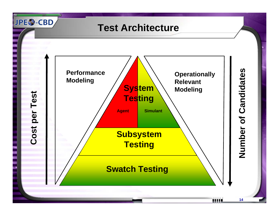#### **Test Architecture**

JPE<sup>2</sup>-CBD



**14**

min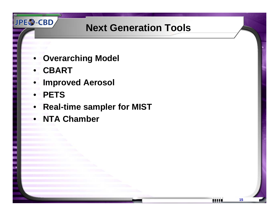# **Next Generation Tools**

- •**Overarching Model**
- •**CBART**

JPE<sup>2</sup>-CBD

- •**Improved Aerosol**
- •**PETS**
- $\bullet$ **Real-time sampler for MIST**
- •**NTA Chamber**

ши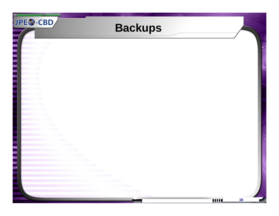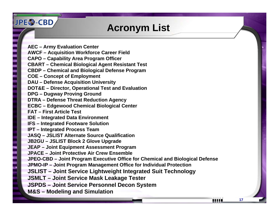#### **Acronym List**

**AEC – Army Evaluation Center AWCF – Acquisition Workforce Career Field CAPO – Capability Area Program Officer CBART – Chemical Biological Agent Resistant Test CBDP – Chemical and Biological Defense Program COE – Concept of Employment DAU – Defense Acquisition University DOT&E – Director, Operational Test and Evaluation DPG – Dugway Proving Ground DTRA – Defense Threat Reduction Agency ECBC – Edgewood Chemical Biological Center FAT – First Article Test IDE – Integrated Data Environment IFS – Integrated Footware Solution IPT – Integrated Process Team JASQ – JSLIST Alternate Source Qualification JB2GU – JSLIST Block 2 Glove Upgrade JEAP – Joint Equipment Assessment Program JPACE – Joint Protective Air Crew Ensemble JPEO-CBD – Joint Program Executive Office for Chemical and Biological Defense JPMO-IP – Joint Program Management Office for Individual Protection JSLIST – Joint Service Lightweight Integrated Suit Technology JSMLT – Joint Service Mask Leakage Tester JSPDS – Joint Service Personnel Decon System M&S – Modeling and Simulation**

**JPES-CBD** 

шш